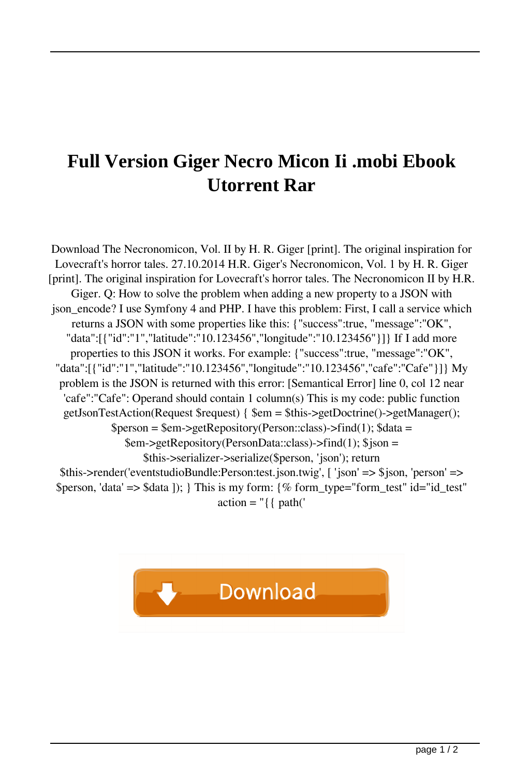## **Full Version Giger Necro Micon Ii .mobi Ebook Utorrent Rar**

Download The Necronomicon, Vol. II by H. R. Giger [print]. The original inspiration for Lovecraft's horror tales. 27.10.2014 H.R. Giger's Necronomicon, Vol. 1 by H. R. Giger [print]. The original inspiration for Lovecraft's horror tales. The Necronomicon II by H.R. Giger. Q: How to solve the problem when adding a new property to a JSON with json\_encode? I use Symfony 4 and PHP. I have this problem: First, I call a service which returns a JSON with some properties like this: {"success":true, "message":"OK", "data":[{"id":"1","latitude":"10.123456","longitude":"10.123456"}]} If I add more properties to this JSON it works. For example: {"success":true, "message":"OK", "data":[{"id":"1","latitude":"10.123456","longitude":"10.123456","cafe":"Cafe"}]} My problem is the JSON is returned with this error: [Semantical Error] line 0, col 12 near 'cafe":"Cafe": Operand should contain 1 column(s) This is my code: public function getJsonTestAction(Request \$request) { \$em = \$this->getDoctrine()->getManager();  $$person = $em->getRepository(Person::class)->find(1); $data =$ \$em->getRepository(PersonData::class)->find(1); \$json = \$this->serializer->serialize(\$person, 'json'); return \$this->render('eventstudioBundle:Person:test.json.twig', [ 'json' => \$json, 'person' => \$person, 'data' => \$data ]); } This is my form: {% form\_type="form\_test" id="id\_test"  $\text{action} = "\{\text{path}(\text{``}}\$